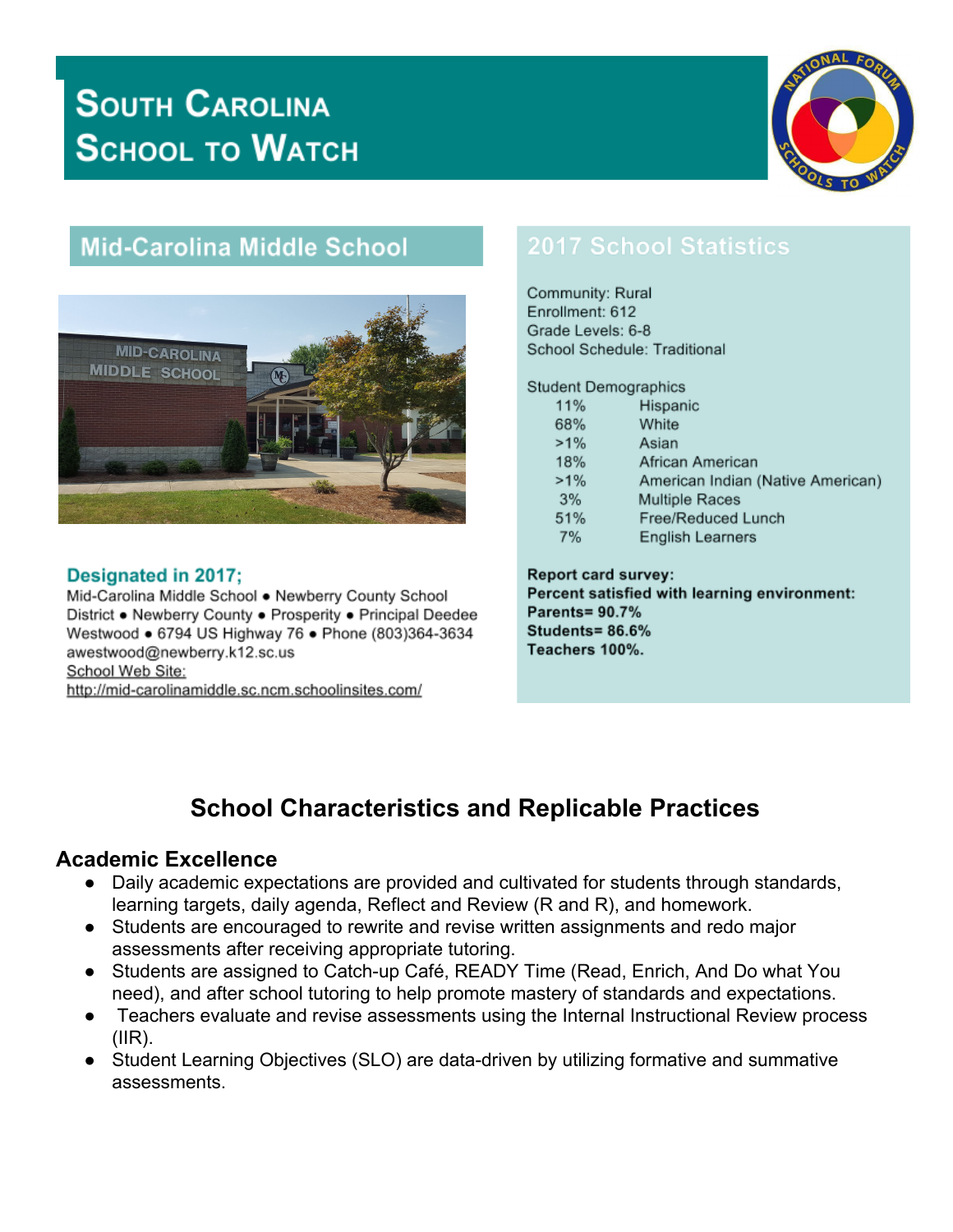# **SOUTH CAROLINA SCHOOL TO WATCH**



## **Mid-Carolina Middle School**



#### Designated in 2017;

Mid-Carolina Middle School . Newberry County School District . Newberry County . Prosperity . Principal Deedee Westwood . 6794 US Highway 76 . Phone (803)364-3634 awestwood@newberry.k12.sc.us School Web Site: http://mid-carolinamiddle.sc.ncm.schoolinsites.com/

## **2017 School Statistics**

Community: Rural Enrollment: 612 Grade Levels: 6-8 School Schedule: Traditional

**Student Demographics** 

| 11%    | Hispanic                          |
|--------|-----------------------------------|
| 68%    | White                             |
| $>1\%$ | Asian                             |
| 18%    | African American                  |
| $>1\%$ | American Indian (Native American) |
| -3%    | <b>Multiple Races</b>             |
| 51%    | Free/Reduced Lunch                |
| 7%     | <b>English Learners</b>           |

**Report card survey:** Percent satisfied with learning environment: **Parents= 90.7%** Students=86.6% Teachers 100%.

## **School Characteristics and Replicable Practices**

#### **Academic Excellence**

- Daily academic expectations are provided and cultivated for students through standards, learning targets, daily agenda, Reflect and Review (R and R), and homework.
- Students are encouraged to rewrite and revise written assignments and redo major assessments after receiving appropriate tutoring.
- Students are assigned to Catch-up Café, READY Time (Read, Enrich, And Do what You need), and after school tutoring to help promote mastery of standards and expectations.
- Teachers evaluate and revise assessments using the Internal Instructional Review process  $(IIR)$ .
- Student Learning Objectives (SLO) are data-driven by utilizing formative and summative assessments.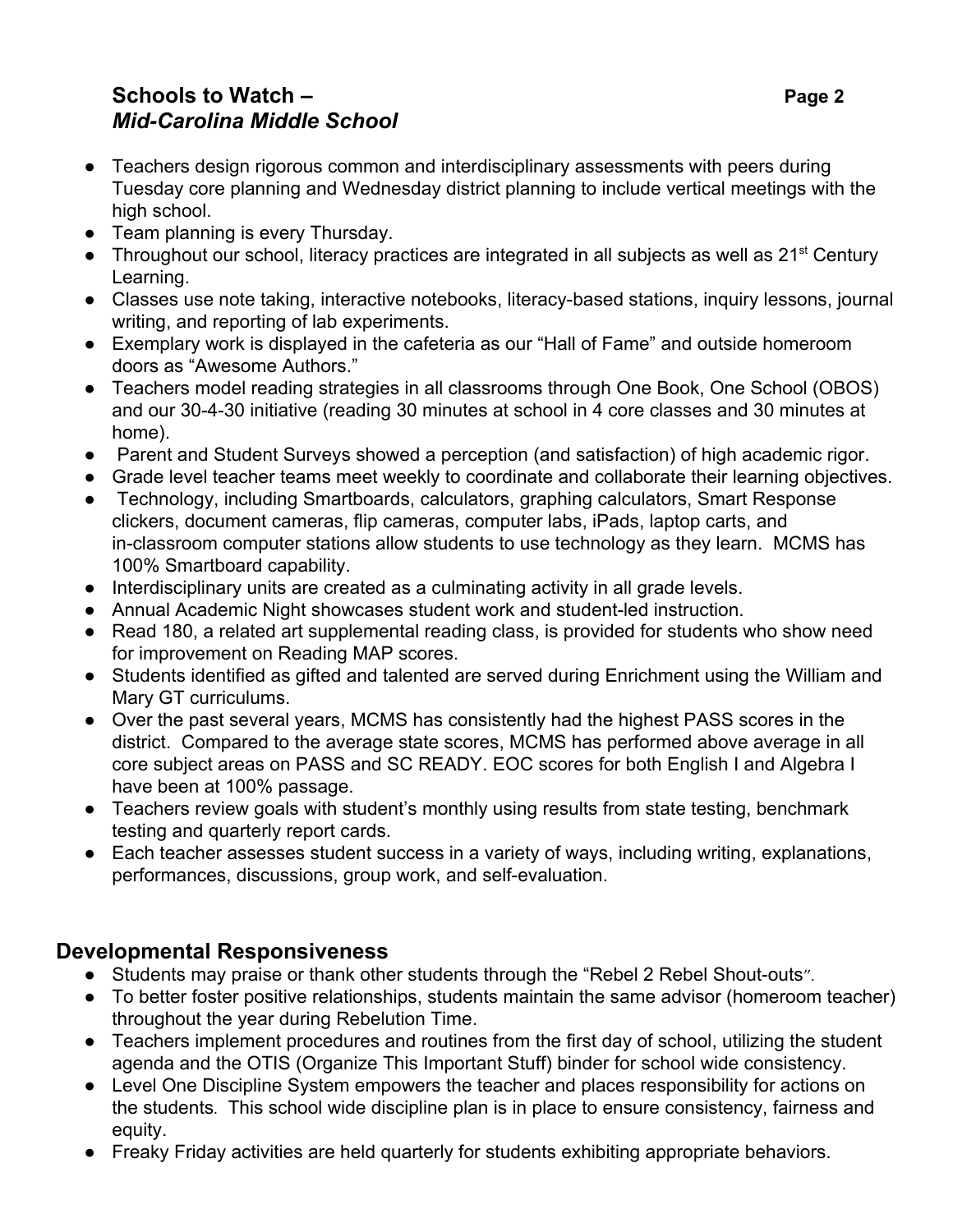#### **Schools to Watch – Page 2** *Mid-Carolina Middle School*

- Teachers design rigorous common and interdisciplinary assessments with peers during Tuesday core planning and Wednesday district planning to include vertical meetings with the high school.
- Team planning is every Thursday.
- Throughout our school, literacy practices are integrated in all subjects as well as 21<sup>st</sup> Century Learning.
- Classes use note taking, interactive notebooks, literacy-based stations, inquiry lessons, journal writing, and reporting of lab experiments.
- Exemplary work is displayed in the cafeteria as our "Hall of Fame" and outside homeroom doors as "Awesome Authors."
- Teachers model reading strategies in all classrooms through One Book, One School (OBOS) and our 30-4-30 initiative (reading 30 minutes at school in 4 core classes and 30 minutes at home).
- Parent and Student Surveys showed a perception (and satisfaction) of high academic rigor.
- Grade level teacher teams meet weekly to coordinate and collaborate their learning objectives.
- Technology, including Smartboards, calculators, graphing calculators, Smart Response clickers, document cameras, flip cameras, computer labs, iPads, laptop carts, and in-classroom computer stations allow students to use technology as they learn. MCMS has 100% Smartboard capability.
- Interdisciplinary units are created as a culminating activity in all grade levels.
- Annual Academic Night showcases student work and student-led instruction.
- Read 180, a related art supplemental reading class, is provided for students who show need for improvement on Reading MAP scores.
- Students identified as gifted and talented are served during Enrichment using the William and Mary GT curriculums.
- Over the past several years, MCMS has consistently had the highest PASS scores in the district. Compared to the average state scores, MCMS has performed above average in all core subject areas on PASS and SC READY. EOC scores for both English I and Algebra I have been at 100% passage.
- Teachers review goals with student's monthly using results from state testing, benchmark testing and quarterly report cards.
- Each teacher assesses student success in a variety of ways, including writing, explanations, performances, discussions, group work, and self-evaluation.

#### **Developmental Responsiveness**

- Students may praise or thank other students through the "Rebel 2 Rebel Shout-outs".
- To better foster positive relationships, students maintain the same advisor (homeroom teacher) throughout the year during Rebelution Time.
- Teachers implement procedures and routines from the first day of school, utilizing the student agenda and the OTIS (Organize This Important Stuff) binder for school wide consistency.
- Level One Discipline System empowers the teacher and places responsibility for actions on the students. This school wide discipline plan is in place to ensure consistency, fairness and equity.
- Freaky Friday activities are held quarterly for students exhibiting appropriate behaviors.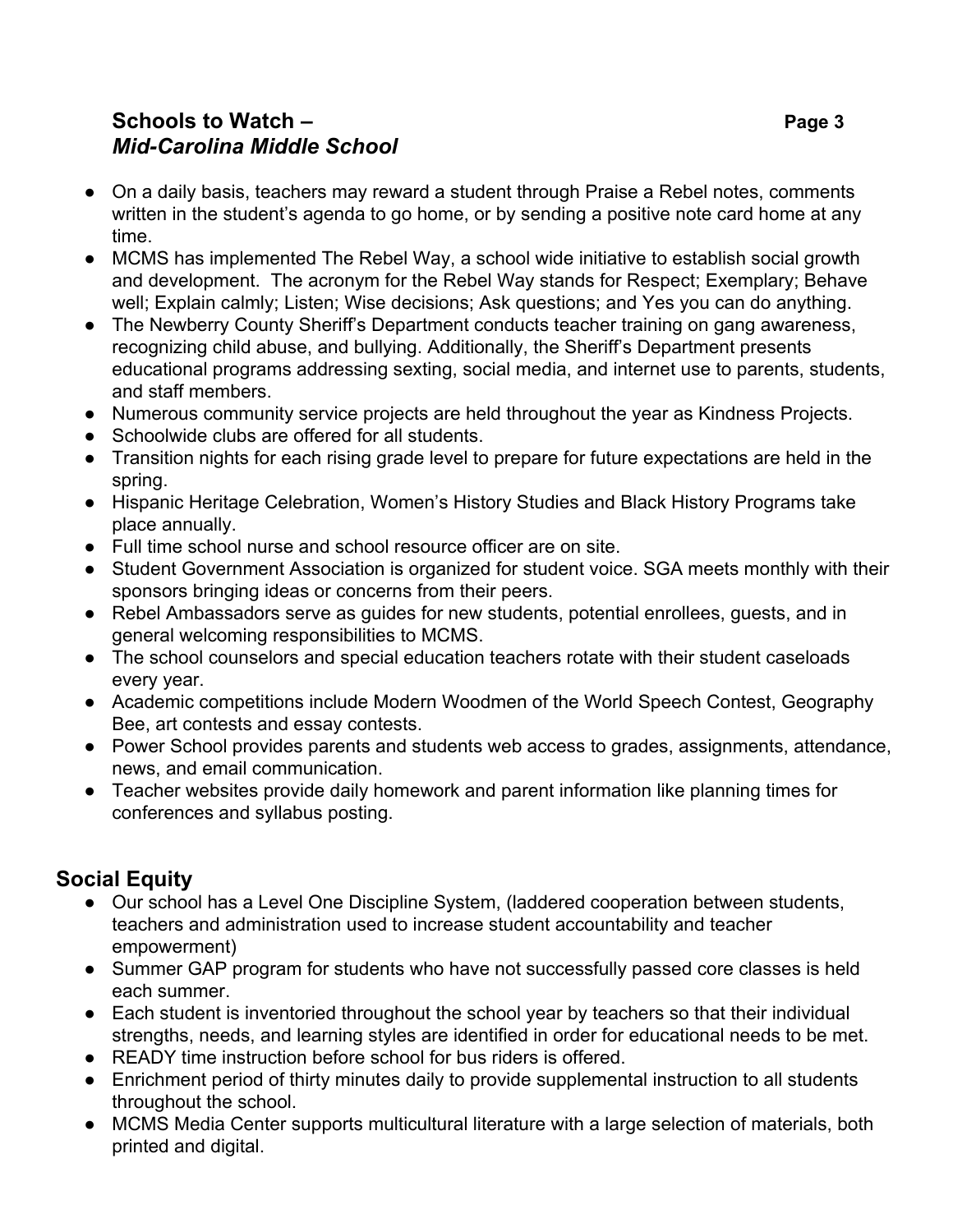#### **Schools to Watch – Page 3** *Mid-Carolina Middle School*

- On a daily basis, teachers may reward a student through Praise a Rebel notes, comments written in the student's agenda to go home, or by sending a positive note card home at any time.
- MCMS has implemented The Rebel Way, a school wide initiative to establish social growth and development. The acronym for the Rebel Way stands for Respect; Exemplary; Behave well; Explain calmly; Listen; Wise decisions; Ask questions; and Yes you can do anything.
- The Newberry County Sheriff's Department conducts teacher training on gang awareness, recognizing child abuse, and bullying. Additionally, the Sheriff's Department presents educational programs addressing sexting, social media, and internet use to parents, students, and staff members.
- Numerous community service projects are held throughout the year as Kindness Projects.
- Schoolwide clubs are offered for all students.
- Transition nights for each rising grade level to prepare for future expectations are held in the spring.
- Hispanic Heritage Celebration, Women's History Studies and Black History Programs take place annually.
- Full time school nurse and school resource officer are on site.
- Student Government Association is organized for student voice. SGA meets monthly with their sponsors bringing ideas or concerns from their peers.
- Rebel Ambassadors serve as quides for new students, potential enrollees, quests, and in general welcoming responsibilities to MCMS.
- The school counselors and special education teachers rotate with their student caseloads every year.
- Academic competitions include Modern Woodmen of the World Speech Contest, Geography Bee, art contests and essay contests.
- Power School provides parents and students web access to grades, assignments, attendance, news, and email communication.
- Teacher websites provide daily homework and parent information like planning times for conferences and syllabus posting.

## **Social Equity**

- Our school has a Level One Discipline System, (laddered cooperation between students, teachers and administration used to increase student accountability and teacher empowerment)
- Summer GAP program for students who have not successfully passed core classes is held each summer.
- Each student is inventoried throughout the school year by teachers so that their individual strengths, needs, and learning styles are identified in order for educational needs to be met.
- READY time instruction before school for bus riders is offered.
- Enrichment period of thirty minutes daily to provide supplemental instruction to all students throughout the school.
- MCMS Media Center supports multicultural literature with a large selection of materials, both printed and digital.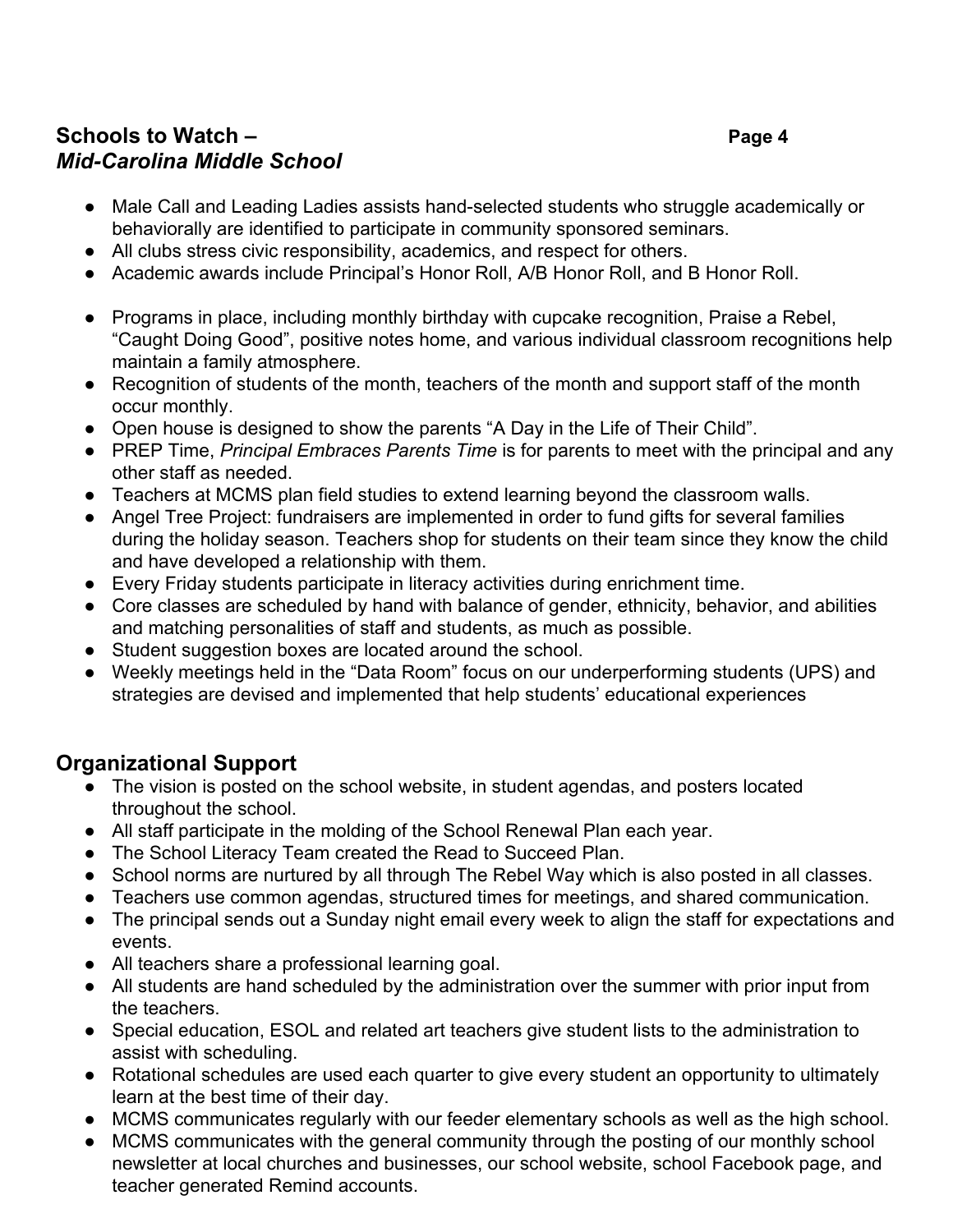### **Schools to Watch – Page 4** *Mid-Carolina Middle School*

- Male Call and Leading Ladies assists hand-selected students who struggle academically or behaviorally are identified to participate in community sponsored seminars.
- All clubs stress civic responsibility, academics, and respect for others.
- Academic awards include Principal's Honor Roll, A/B Honor Roll, and B Honor Roll.
- Programs in place, including monthly birthday with cupcake recognition, Praise a Rebel, "Caught Doing Good", positive notes home, and various individual classroom recognitions help maintain a family atmosphere.
- Recognition of students of the month, teachers of the month and support staff of the month occur monthly.
- Open house is designed to show the parents "A Day in the Life of Their Child".
- PREP Time, *Principal Embraces Parents Time* is for parents to meet with the principal and any other staff as needed.
- Teachers at MCMS plan field studies to extend learning beyond the classroom walls.
- Angel Tree Project: fundraisers are implemented in order to fund gifts for several families during the holiday season. Teachers shop for students on their team since they know the child and have developed a relationship with them.
- Every Friday students participate in literacy activities during enrichment time.
- Core classes are scheduled by hand with balance of gender, ethnicity, behavior, and abilities and matching personalities of staff and students, as much as possible.
- Student suggestion boxes are located around the school.
- Weekly meetings held in the "Data Room" focus on our underperforming students (UPS) and strategies are devised and implemented that help students' educational experiences

## **Organizational Support**

- The vision is posted on the school website, in student agendas, and posters located throughout the school.
- All staff participate in the molding of the School Renewal Plan each year.
- The School Literacy Team created the Read to Succeed Plan.
- School norms are nurtured by all through The Rebel Way which is also posted in all classes.
- Teachers use common agendas, structured times for meetings, and shared communication.
- The principal sends out a Sunday night email every week to align the staff for expectations and events.
- All teachers share a professional learning goal.
- All students are hand scheduled by the administration over the summer with prior input from the teachers.
- Special education, ESOL and related art teachers give student lists to the administration to assist with scheduling.
- Rotational schedules are used each quarter to give every student an opportunity to ultimately learn at the best time of their day.
- MCMS communicates regularly with our feeder elementary schools as well as the high school.
- MCMS communicates with the general community through the posting of our monthly school newsletter at local churches and businesses, our school website, school Facebook page, and teacher generated Remind accounts.